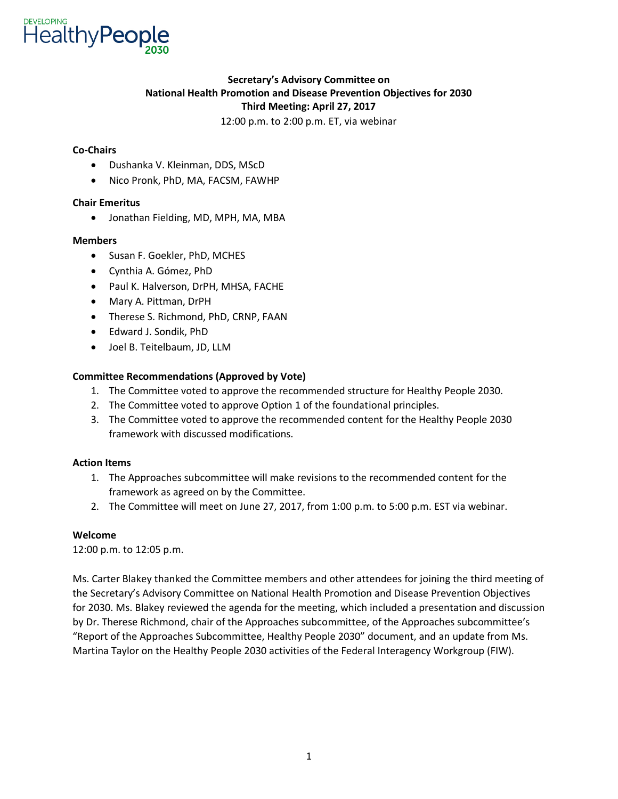

### **Secretary's !dvisory Committee on National Health Promotion and Disease Prevention Objectives for 2030 Third Meeting: April 27, 2017**

12:00 p.m. to 2:00 p.m. ET, via webinar

#### **Co-Chairs**

- Dushanka V. Kleinman, DDS, MScD
- Nico Pronk, PhD, MA, FACSM, FAWHP

#### **Chair Emeritus**

• Jonathan Fielding, MD, MPH, MA, MBA

#### **Members**

- Susan F. Goekler, PhD, MCHES
- Cynthia A. Gómez, PhD
- Paul K. Halverson, DrPH, MHSA, FACHE
- Mary A. Pittman, DrPH
- Therese S. Richmond, PhD, CRNP, FAAN
- Edward J. Sondik, PhD
- Joel B. Teitelbaum, JD, LLM

#### **Committee Recommendations (Approved by Vote)**

- 1. The Committee voted to approve the recommended structure for Healthy People 2030.
- 2. The Committee voted to approve Option 1 of the foundational principles.
- 3. The Committee voted to approve the recommended content for the Healthy People 2030 framework with discussed modifications.

#### **Action Items**

- 1. The Approaches subcommittee will make revisions to the recommended content for the framework as agreed on by the Committee.
- 2. The Committee will meet on June 27, 2017, from 1:00 p.m. to 5:00 p.m. EST via webinar.

#### **Welcome**

12:00 p.m. to 12:05 p.m.

Ms. Carter Blakey thanked the Committee members and other attendees for joining the third meeting of the Secretary's Advisory Committee on National Health Promotion and Disease Prevention Objectives for 2030. Ms. Blakey reviewed the agenda for the meeting, which included a presentation and discussion by Dr. Therese Richmond, chair of the Approaches subcommittee, of the Approaches subcommittee's "Report of the Approaches Subcommittee, Healthy People 2030" document, and an update from Ms. Martina Taylor on the Healthy People 2030 activities of the Federal Interagency Workgroup (FIW).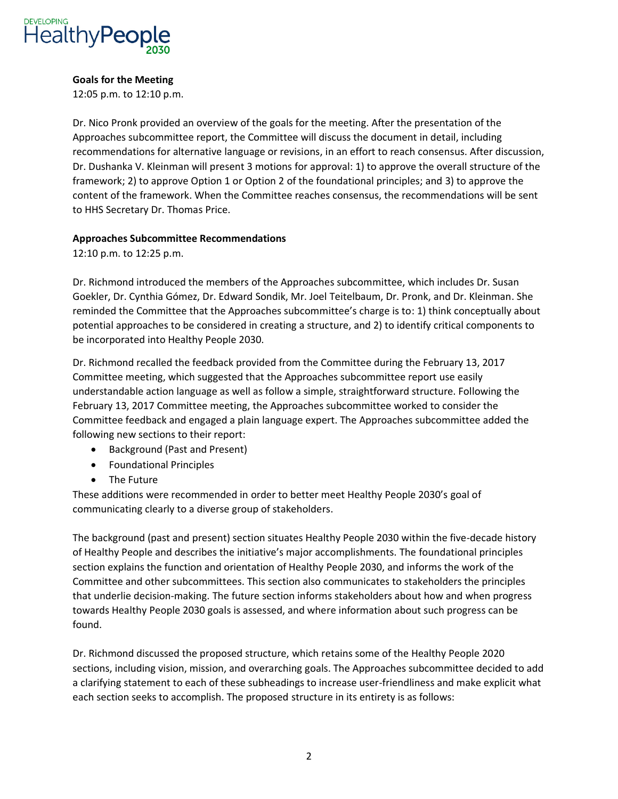

#### **Goals for the Meeting**

12:05 p.m. to 12:10 p.m.

 content of the framework. When the Committee reaches consensus, the recommendations will be sent Dr. Nico Pronk provided an overview of the goals for the meeting. After the presentation of the Approaches subcommittee report, the Committee will discuss the document in detail, including recommendations for alternative language or revisions, in an effort to reach consensus. After discussion, Dr. Dushanka V. Kleinman will present 3 motions for approval: 1) to approve the overall structure of the framework; 2) to approve Option 1 or Option 2 of the foundational principles; and 3) to approve the to HHS Secretary Dr. Thomas Price.

#### **Approaches Subcommittee Recommendations**

12:10 p.m. to 12:25 p.m.

Dr. Richmond introduced the members of the Approaches subcommittee, which includes Dr. Susan Goekler, Dr. Cynthia Gómez, Dr. Edward Sondik, Mr. Joel Teitelbaum, Dr. Pronk, and Dr. Kleinman. She reminded the Committee that the Approaches subcommittee's charge is to: 1) think conceptually about potential approaches to be considered in creating a structure, and 2) to identify critical components to be incorporated into Healthy People 2030.

Dr. Richmond recalled the feedback provided from the Committee during the February 13, 2017 Committee meeting, which suggested that the Approaches subcommittee report use easily understandable action language as well as follow a simple, straightforward structure. Following the February 13, 2017 Committee meeting, the Approaches subcommittee worked to consider the Committee feedback and engaged a plain language expert. The Approaches subcommittee added the following new sections to their report:

- Background (Past and Present)
- Foundational Principles
- The Future

These additions were recommended in order to better meet Healthy People 2030's goal of communicating clearly to a diverse group of stakeholders.

The background (past and present) section situates Healthy People 2030 within the five-decade history of Healthy People and describes the initiative's major accomplishments; The foundational principles section explains the function and orientation of Healthy People 2030, and informs the work of the Committee and other subcommittees. This section also communicates to stakeholders the principles that underlie decision-making. The future section informs stakeholders about how and when progress towards Healthy People 2030 goals is assessed, and where information about such progress can be found.

Dr. Richmond discussed the proposed structure, which retains some of the Healthy People 2020 sections, including vision, mission, and overarching goals. The Approaches subcommittee decided to add a clarifying statement to each of these subheadings to increase user-friendliness and make explicit what each section seeks to accomplish. The proposed structure in its entirety is as follows: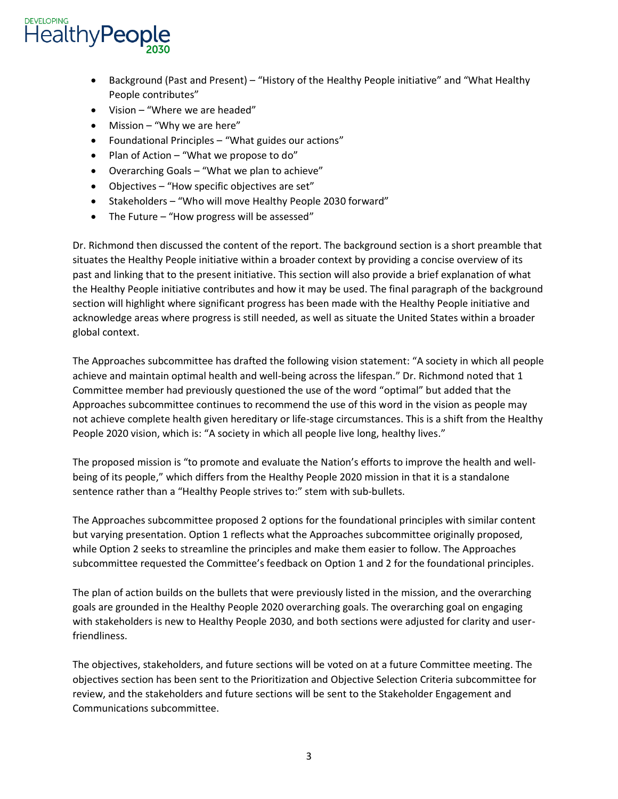

- Background (Past and Present) "History of the Healthy People initiative" and "What Healthy People contributes"
- Vision "Where we are headed"
- Mission "Why we are here"
- Foundational Principles "What guides our actions"
- Plan of Action "What we propose to do"
- Overarching Goals "What we plan to achieve"
- Objectives "How specific objectives are set"
- Stakeholders "Who will move Healthy People 2030 forward"
- The Future "How progress will be assessed"

Dr. Richmond then discussed the content of the report. The background section is a short preamble that situates the Healthy People initiative within a broader context by providing a concise overview of its past and linking that to the present initiative. This section will also provide a brief explanation of what the Healthy People initiative contributes and how it may be used. The final paragraph of the background section will highlight where significant progress has been made with the Healthy People initiative and acknowledge areas where progress is still needed, as well as situate the United States within a broader global context.

The Approaches subcommittee has drafted the following vision statement: "A society in which all people achieve and maintain optimal health and well-being across the lifespan." Dr. Richmond noted that 1 Committee member had previously questioned the use of the word "optimal" but added that the Approaches subcommittee continues to recommend the use of this word in the vision as people may not achieve complete health given hereditary or life-stage circumstances. This is a shift from the Healthy People 2020 vision, which is: "A society in which all people live long, healthy lives."

The proposed mission is "to promote and evaluate the Nation's efforts to improve the health and wellbeing of its people," which differs from the Healthy People 2020 mission in that it is a standalone sentence rather than a "Healthy People strives to:" stem with sub-bullets.

 The Approaches subcommittee proposed 2 options for the foundational principles with similar content but varying presentation. Option 1 reflects what the Approaches subcommittee originally proposed, while Option 2 seeks to streamline the principles and make them easier to follow. The Approaches subcommittee requested the Committee's feedback on Option 1 and 2 for the foundational principles.

The plan of action builds on the bullets that were previously listed in the mission, and the overarching goals are grounded in the Healthy People 2020 overarching goals. The overarching goal on engaging with stakeholders is new to Healthy People 2030, and both sections were adjusted for clarity and userfriendliness.

The objectives, stakeholders, and future sections will be voted on at a future Committee meeting. The objectives section has been sent to the Prioritization and Objective Selection Criteria subcommittee for review, and the stakeholders and future sections will be sent to the Stakeholder Engagement and Communications subcommittee.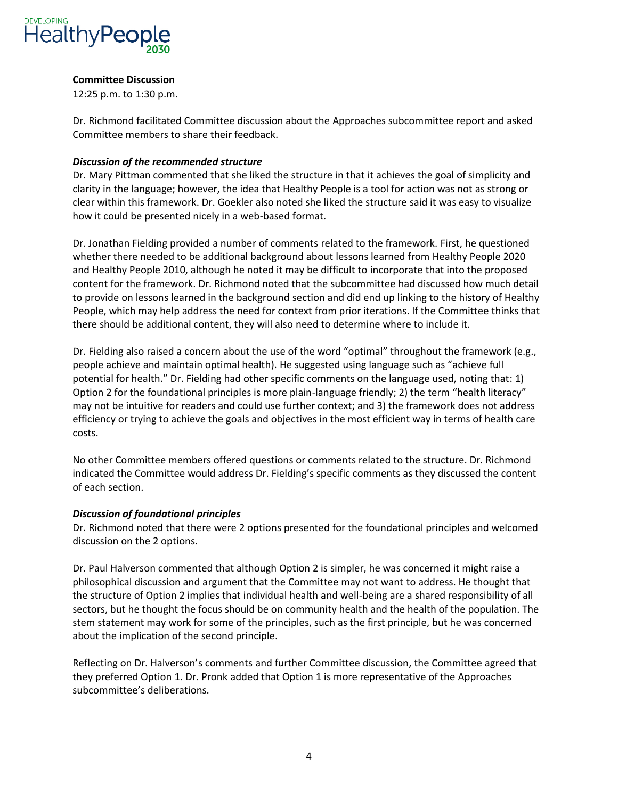

#### **Committee Discussion**

12:25 p.m. to 1:30 p.m.

Dr. Richmond facilitated Committee discussion about the Approaches subcommittee report and asked Committee members to share their feedback.

#### *Discussion of the recommended structure*

Dr. Mary Pittman commented that she liked the structure in that it achieves the goal of simplicity and clarity in the language; however, the idea that Healthy People is a tool for action was not as strong or clear within this framework. Dr. Goekler also noted she liked the structure said it was easy to visualize how it could be presented nicely in a web-based format.

Dr. Jonathan Fielding provided a number of comments related to the framework. First, he questioned whether there needed to be additional background about lessons learned from Healthy People 2020 and Healthy People 2010, although he noted it may be difficult to incorporate that into the proposed content for the framework. Dr. Richmond noted that the subcommittee had discussed how much detail to provide on lessons learned in the background section and did end up linking to the history of Healthy People, which may help address the need for context from prior iterations. If the Committee thinks that there should be additional content, they will also need to determine where to include it.

Dr. Fielding also raised a concern about the use of the word "optimal" throughout the framework (e.g., people achieve and maintain optimal health); He suggested using language such as "achieve full potential for health." Dr. Fielding had other specific comments on the language used, noting that: 1) Option 2 for the foundational principles is more plain-language friendly; 2) the term "health literacy" may not be intuitive for readers and could use further context; and 3) the framework does not address efficiency or trying to achieve the goals and objectives in the most efficient way in terms of health care costs.

No other Committee members offered questions or comments related to the structure. Dr. Richmond indicated the Committee would address Dr; Fielding's specific comments as they discussed the content of each section.

#### *Discussion of foundational principles*

Dr. Richmond noted that there were 2 options presented for the foundational principles and welcomed discussion on the 2 options.

Dr. Paul Halverson commented that although Option 2 is simpler, he was concerned it might raise a philosophical discussion and argument that the Committee may not want to address. He thought that the structure of Option 2 implies that individual health and well-being are a shared responsibility of all sectors, but he thought the focus should be on community health and the health of the population. The stem statement may work for some of the principles, such as the first principle, but he was concerned about the implication of the second principle.

Reflecting on Dr; Halverson's comments and further Committee discussion, the Committee agreed that they preferred Option 1. Dr. Pronk added that Option 1 is more representative of the Approaches subcommittee's deliberations;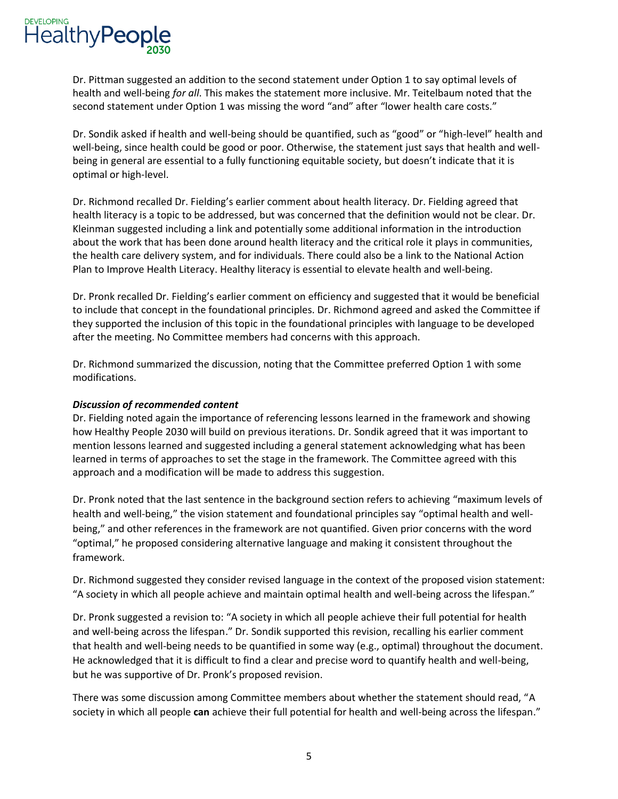**HealthyPeople** 

 Dr. Pittman suggested an addition to the second statement under Option 1 to say optimal levels of health and well-being *for all*. This makes the statement more inclusive. Mr. Teitelbaum noted that the second statement under Option 1 was missing the word "and" after "lower health care costs."

Dr. Sondik asked if health and well-being should be quantified, such as "good" or "high-level" health and well-being, since health could be good or poor. Otherwise, the statement just says that health and wellbeing in general are essential to a fully functioning equitable society, but doesn't indicate that it is optimal or high-level.

Dr. Richmond recalled Dr. Fielding's earlier comment about health literacy; Dr; Fielding agreed that health literacy is a topic to be addressed, but was concerned that the definition would not be clear. Dr. Kleinman suggested including a link and potentially some additional information in the introduction about the work that has been done around health literacy and the critical role it plays in communities, the health care delivery system, and for individuals. There could also be a link to the National Action Plan to Improve Health Literacy. Healthy literacy is essential to elevate health and well-being.

Dr; Pronk recalled Dr; Fielding's earlier comment on efficiency and suggested that it would be beneficial to include that concept in the foundational principles. Dr. Richmond agreed and asked the Committee if they supported the inclusion of this topic in the foundational principles with language to be developed after the meeting. No Committee members had concerns with this approach.

Dr. Richmond summarized the discussion, noting that the Committee preferred Option 1 with some modifications.

#### *Discussion of recommended content*

Dr. Fielding noted again the importance of referencing lessons learned in the framework and showing how Healthy People 2030 will build on previous iterations. Dr. Sondik agreed that it was important to mention lessons learned and suggested including a general statement acknowledging what has been learned in terms of approaches to set the stage in the framework. The Committee agreed with this approach and a modification will be made to address this suggestion.

 Dr. Pronk noted that the last sentence in the background section refers to achieving "maximum levels of health and well-being," the vision statement and foundational principles say "optimal health and wellbeing," and other references in the framework are not quantified. Given prior concerns with the word "optimal," he proposed considering alternative language and making it consistent throughout the framework.

Dr. Richmond suggested they consider revised language in the context of the proposed vision statement: "A society in which all people achieve and maintain optimal health and well-being across the lifespan;"

Dr. Pronk suggested a revision to: "A society in which all people achieve their full potential for health and well-being across the lifespan." Dr. Sondik supported this revision, recalling his earlier comment that health and well-being needs to be quantified in some way (e.g., optimal) throughout the document. He acknowledged that it is difficult to find a clear and precise word to quantify health and well-being, but he was supportive of Dr. Pronk's proposed revision;

There was some discussion among Committee members about whether the statement should read, "A society in which all people **can** achieve their full potential for health and well-being across the lifespan;"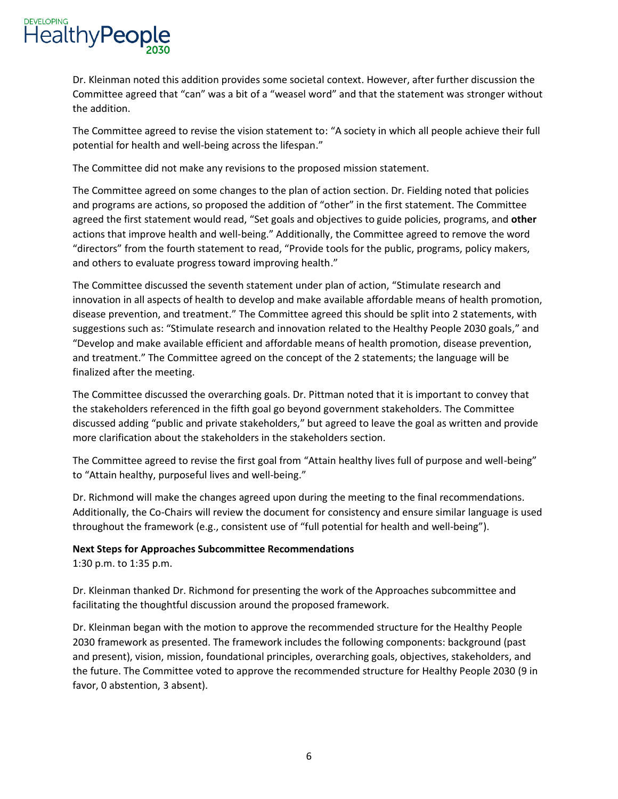

Dr. Kleinman noted this addition provides some societal context. However, after further discussion the Committee agreed that "can" was a bit of a "weasel word" and that the statement was stronger without the addition.

The Committee agreed to revise the vision statement to: "A society in which all people achieve their full potential for health and well-being across the lifespan."

The Committee did not make any revisions to the proposed mission statement.

The Committee agreed on some changes to the plan of action section. Dr. Fielding noted that policies and programs are actions, so proposed the addition of "other" in the first statement; The Committee agreed the first statement would read, "Set goals and objectives to guide policies, programs, and **other**  actions that improve health and well-being." Additionally, the Committee agreed to remove the word "directors" from the fourth statement to read, "Provide tools for the public, programs, policy makers, and others to evaluate progress toward improving health."

The Committee discussed the seventh statement under plan of action, "Stimulate research and innovation in all aspects of health to develop and make available affordable means of health promotion, disease prevention, and treatment;" The Committee agreed this should be split into 2 statements, with suggestions such as: "Stimulate research and innovation related to the Healthy People 2030 goals," and "Develop and make available efficient and affordable means of health promotion, disease prevention, and treatment." The Committee agreed on the concept of the 2 statements; the language will be finalized after the meeting.

The Committee discussed the overarching goals. Dr. Pittman noted that it is important to convey that the stakeholders referenced in the fifth goal go beyond government stakeholders. The Committee discussed adding "public and private stakeholders," but agreed to leave the goal as written and provide more clarification about the stakeholders in the stakeholders section.

The Committee agreed to revise the first goal from "Attain healthy lives full of purpose and well-being" to "Attain healthy, purposeful lives and well-being."

Dr. Richmond will make the changes agreed upon during the meeting to the final recommendations. Additionally, the Co-Chairs will review the document for consistency and ensure similar language is used throughout the framework (e.g., consistent use of "full potential for health and well-being").

#### **Next Steps for Approaches Subcommittee Recommendations**

1:30 p.m. to 1:35 p.m.

Dr. Kleinman thanked Dr. Richmond for presenting the work of the Approaches subcommittee and facilitating the thoughtful discussion around the proposed framework.

Dr. Kleinman began with the motion to approve the recommended structure for the Healthy People 2030 framework as presented. The framework includes the following components: background (past and present), vision, mission, foundational principles, overarching goals, objectives, stakeholders, and the future. The Committee voted to approve the recommended structure for Healthy People 2030 (9 in favor, 0 abstention, 3 absent).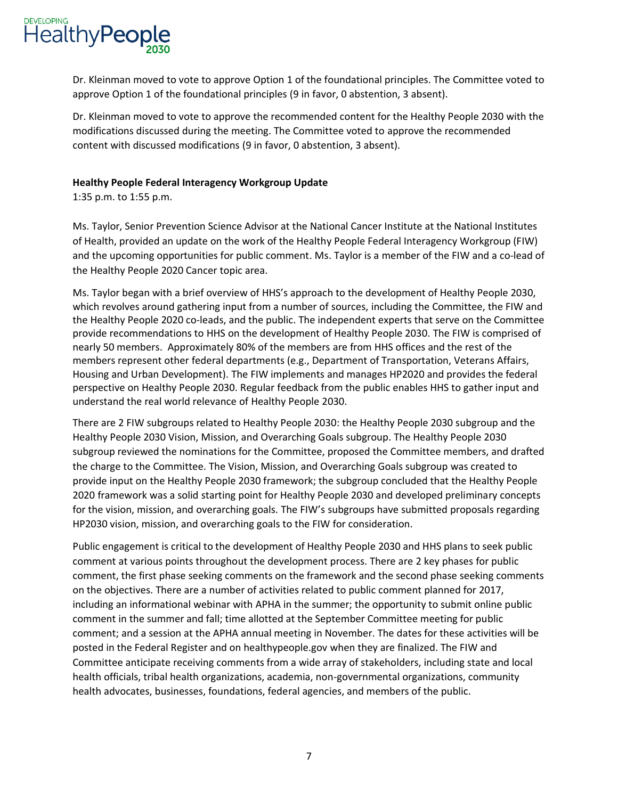

Dr. Kleinman moved to vote to approve Option 1 of the foundational principles. The Committee voted to approve Option 1 of the foundational principles (9 in favor, 0 abstention, 3 absent).

Dr. Kleinman moved to vote to approve the recommended content for the Healthy People 2030 with the modifications discussed during the meeting. The Committee voted to approve the recommended content with discussed modifications (9 in favor, 0 abstention, 3 absent).

#### **Healthy People Federal Interagency Workgroup Update**

1:35 p.m. to 1:55 p.m.

Ms. Taylor, Senior Prevention Science Advisor at the National Cancer Institute at the National Institutes of Health, provided an update on the work of the Healthy People Federal Interagency Workgroup (FIW) and the upcoming opportunities for public comment. Ms. Taylor is a member of the FIW and a co-lead of the Healthy People 2020 Cancer topic area.

 provide recommendations to HHS on the development of Healthy People 2030. The FIW is comprised of Ms; Taylor began with a brief overview of HHS's approach to the development of Healthy People 2030, which revolves around gathering input from a number of sources, including the Committee, the FIW and the Healthy People 2020 co-leads, and the public. The independent experts that serve on the Committee nearly 50 members. Approximately 80% of the members are from HHS offices and the rest of the members represent other federal departments (e.g., Department of Transportation, Veterans Affairs, Housing and Urban Development). The FIW implements and manages HP2020 and provides the federal perspective on Healthy People 2030. Regular feedback from the public enables HHS to gather input and understand the real world relevance of Healthy People 2030.

There are 2 FIW subgroups related to Healthy People 2030: the Healthy People 2030 subgroup and the Healthy People 2030 Vision, Mission, and Overarching Goals subgroup. The Healthy People 2030 subgroup reviewed the nominations for the Committee, proposed the Committee members, and drafted the charge to the Committee. The Vision, Mission, and Overarching Goals subgroup was created to provide input on the Healthy People 2030 framework; the subgroup concluded that the Healthy People 2020 framework was a solid starting point for Healthy People 2030 and developed preliminary concepts for the vision, mission, and overarching goals. The FIW's subgroups have submitted proposals regarding HP2030 vision, mission, and overarching goals to the FIW for consideration.

Public engagement is critical to the development of Healthy People 2030 and HHS plans to seek public comment at various points throughout the development process. There are 2 key phases for public comment, the first phase seeking comments on the framework and the second phase seeking comments on the objectives. There are a number of activities related to public comment planned for 2017, including an informational webinar with APHA in the summer; the opportunity to submit online public comment in the summer and fall; time allotted at the September Committee meeting for public comment; and a session at the APHA annual meeting in November. The dates for these activities will be posted in the Federal Register and on healthypeople.gov when they are finalized. The FIW and Committee anticipate receiving comments from a wide array of stakeholders, including state and local health officials, tribal health organizations, academia, non-governmental organizations, community health advocates, businesses, foundations, federal agencies, and members of the public.